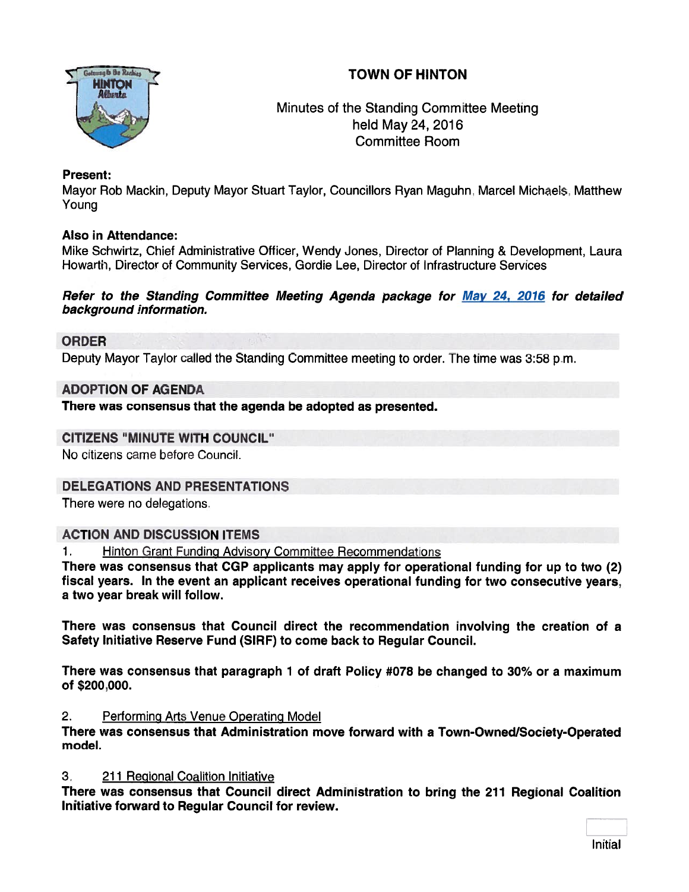# TOWN OF HINTON



# Minutes of the Standing Committee Meeting held May 24, 2016 Committee Room

# Present:

Mayor Rob Mackin, Deputy Mayor Stuart Taylor, Councillors Ryan Maguhn, Marcel Michaels, Matthew Young

# Also in Attendance:

Mike Schwirtz, Chief Administrative Officer, Wendy Jones, Director of Planning & Development, Laura Howarth, Director of Community Services, Gordie Lee, Director of Infrastructure Services

### Refer to the Standing Committee Meeting Agenda package for May 24, 2016 for detailed background information.

# ORDER

Deputy Mayor Taylor called the Standing Committee meeting to order. The time was 3:58 p.m.

# ADOPTION OF AGENDA

There was consensus that the agenda be adopted as presented.

#### CITIZENS "MINUTE WITH COUNCIL"

No citizens came before Council.

#### DELEGATIONS AND PRESENTATIONS

There were no delegations.

#### ACTION AND DISCUSSION ITEMS

1. Hinton Grant Funding Advisory Committee Recommendations

There was consensus that CGP applicants may apply for operational funding for up to two (2) fiscal years. In the event an applicant receives operational funding for two consecutive years, <sup>a</sup> two year break will follow.

There was consensus that Council direct the recommendation involving the creation of <sup>a</sup> Safety Initiative Reserve Fund (SIRF) to come back to Regular Council.

There was consensus that paragraph <sup>1</sup> of draft Policy #078 be changed to 30% or <sup>a</sup> maximum of \$200,000.

#### 2. Performing Arts Venue Operating Model

There was consensus that Administration move forward with <sup>a</sup> Town-Owned/Society-Operated model.

#### 3. 21 1 Regional Coalition Initiative

There was consensus that Council direct Administration to bring the 211 Regional Coalition Initiative forward to Regular Council for review.

Initial